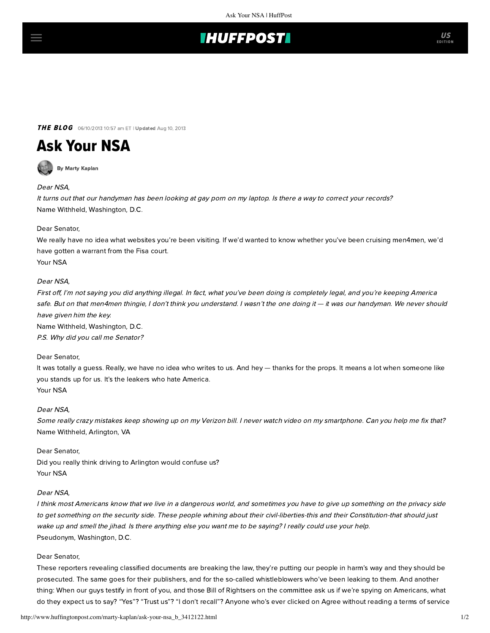## **IHUFFPOSTI**

THE BLOG 06/10/2013 10:57 am ET | Updated Aug 10, 2013

# Ask Your NSA

[By Marty Kaplan](http://www.huffingtonpost.com/author/marty-kaplan)

### Dear NSA,

It turns out that our handyman has been looking at gay porn on my laptop. Is there a way to correct your records? Name Withheld, Washington, D.C.

## Dear Senator,

We really have no idea what websites you're been visiting. If we'd wanted to know whether you've been cruising men4men, we'd have gotten a warrant from the Fisa court. Your NSA

## Dear NSA,

First off, I'm not saying you did anything illegal. In fact, what you've been doing is completely legal, and you're keeping America safe. But on that men4men thingie, I don't think you understand. I wasn't the one doing it — it was our handyman. We never should have given him the key. Name Withheld, Washington, D.C.

P.S. Why did you call me Senator?

## Dear Senator,

It was totally a guess. Really, we have no idea who writes to us. And hey — thanks for the props. It means a lot when someone like you stands up for us. It's the leakers who hate America. Your NSA

#### Dear NSA,

Some really crazy mistakes keep showing up on my Verizon bill. I never watch video on my smartphone. Can you help me fix that? Name Withheld, Arlington, VA

#### Dear Senator,

Did you really think driving to Arlington would confuse us? Your NSA

#### Dear NSA,

I think most Americans know that we live in a dangerous world, and sometimes you have to give up something on the privacy side to get something on the security side. These people whining about their civil-liberties-this and their Constitution-that should just wake up and smell the jihad. Is there anything else you want me to be saying? I really could use your help. Pseudonym, Washington, D.C.

#### Dear Senator,

These reporters revealing classified documents are breaking the law, they're putting our people in harm's way and they should be prosecuted. The same goes for their publishers, and for the so-called whistleblowers who've been leaking to them. And another thing: When our guys testify in front of you, and those Bill of Rightsers on the committee ask us if we're spying on Americans, what do they expect us to say? "Yes"? "Trust us"? "I don't recall"? Anyone who's ever clicked on Agree without reading a terms of service